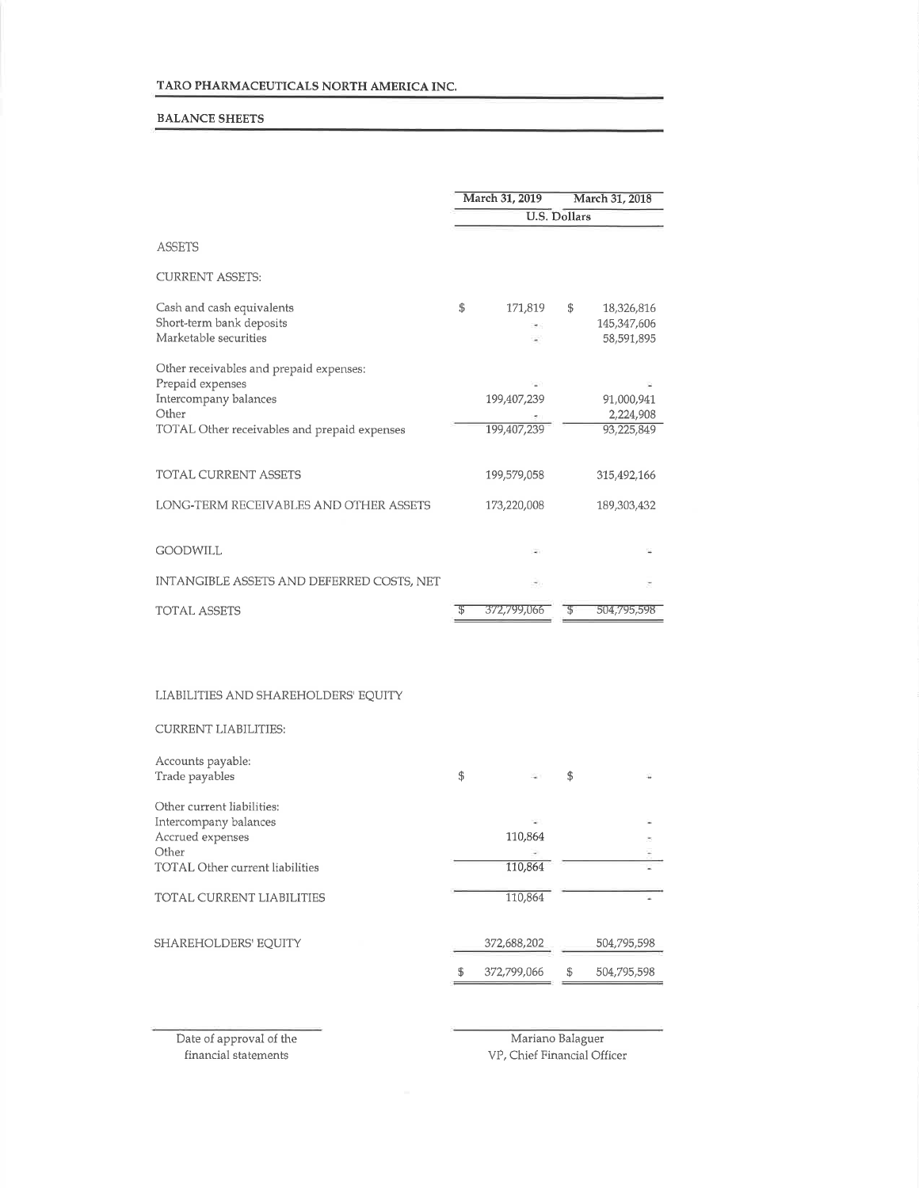### BALANCE SHEETS

|                                              | March 31, 2019 | March 31, 2018      |             |  |
|----------------------------------------------|----------------|---------------------|-------------|--|
|                                              |                | <b>U.S. Dollars</b> |             |  |
| <b>ASSETS</b>                                |                |                     |             |  |
| <b>CURRENT ASSETS:</b>                       |                |                     |             |  |
| Cash and cash equivalents                    | \$<br>171,819  | \$                  | 18,326,816  |  |
| Short-term bank deposits                     |                |                     | 145,347,606 |  |
| Marketable securities                        |                |                     | 58,591,895  |  |
| Other receivables and prepaid expenses:      |                |                     |             |  |
| Prepaid expenses                             |                |                     |             |  |
| Intercompany balances                        | 199,407,239    | 91,000,941          |             |  |
| Other                                        |                |                     | 2,224,908   |  |
| TOTAL Other receivables and prepaid expenses | 199.407.239    |                     | 93,225,849  |  |
| <b>TOTAL CURRENT ASSETS</b>                  | 199,579,058    |                     | 315,492,166 |  |
| LONG-TERM RECEIVABLES AND OTHER ASSETS       | 173,220,008    |                     | 189,303,432 |  |
| <b>GOODWILL</b>                              |                |                     |             |  |
| INTANGIBLE ASSETS AND DEFERRED COSTS. NET    |                |                     |             |  |
| <b>TOTAL ASSETS</b>                          | 372,799,066    |                     | 504,795,598 |  |

### LIABILITIES AND SHAREHOLDERS' EQUITY

#### CURRENT LIABILITIES:

| Accounts payable:                      |    |             |     |             |
|----------------------------------------|----|-------------|-----|-------------|
| Trade payables                         | \$ |             | \$  |             |
| Other current liabilities:             |    |             |     |             |
| Intercompany balances                  |    |             |     |             |
| Accrued expenses                       |    | 110,864     |     |             |
| Other                                  |    |             |     |             |
| <b>TOTAL Other current liabilities</b> |    | 110,864     |     |             |
| TOTAL CURRENT LIABILITIES              |    | 110,864     |     |             |
| SHAREHOLDERS' EOUITY                   |    | 372,688,202 |     | 504,795,598 |
|                                        | S  | 372,799,066 | \$. | 504,795,598 |
|                                        |    |             |     |             |

Date of approval of the financial statements

Mariano Balaguer VP, Chief Financial Officer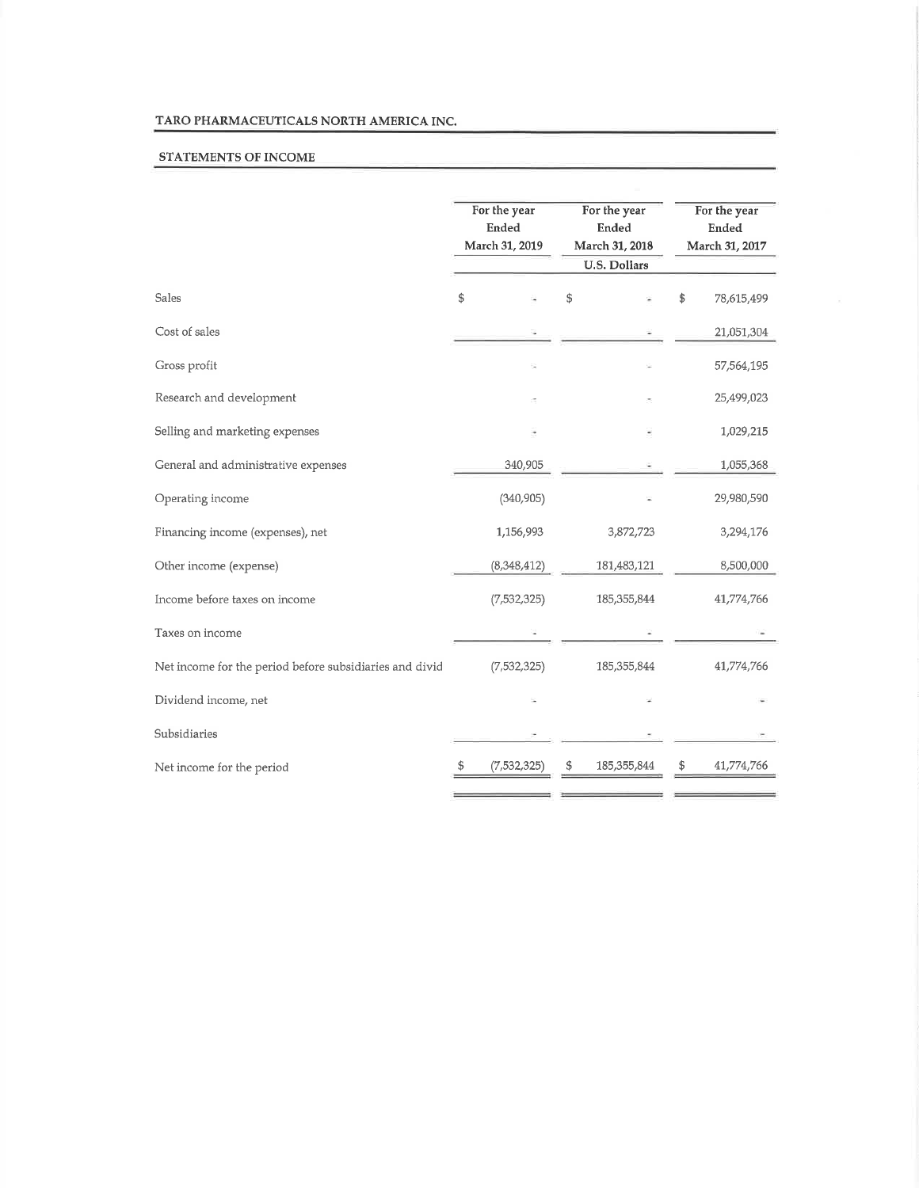### TARO PHARMACEUTICALS NORTH AMERICA INC.

### STATEMENTS OF INCOME

|                                                         | For the year<br>Ended | For the year<br>Ended |                                       | For the year<br><b>Ended</b> |                |
|---------------------------------------------------------|-----------------------|-----------------------|---------------------------------------|------------------------------|----------------|
|                                                         | March 31, 2019        |                       | March 31, 2018<br><b>U.S. Dollars</b> |                              | March 31, 2017 |
|                                                         |                       |                       |                                       |                              |                |
| Sales                                                   | \$                    | \$                    |                                       | \$                           | 78,615,499     |
| Cost of sales                                           |                       |                       |                                       |                              | 21,051,304     |
| Gross profit                                            |                       |                       |                                       |                              | 57,564,195     |
| Research and development                                |                       |                       |                                       |                              | 25,499,023     |
| Selling and marketing expenses                          |                       |                       |                                       |                              | 1,029,215      |
| General and administrative expenses                     | 340,905               |                       |                                       |                              | 1,055,368      |
| Operating income                                        | (340, 905)            |                       |                                       |                              | 29,980,590     |
| Financing income (expenses), net                        | 1,156,993             |                       | 3,872,723                             |                              | 3,294,176      |
| Other income (expense)                                  | (8,348,412)           |                       | 181,483,121                           |                              | 8,500,000      |
| Income before taxes on income                           | (7, 532, 325)         |                       | 185, 355, 844                         |                              | 41,774,766     |
| Taxes on income                                         |                       |                       |                                       |                              |                |
| Net income for the period before subsidiaries and divid | (7,532,325)           |                       | 185, 355, 844                         |                              | 41,774,766     |
| Dividend income, net                                    |                       |                       |                                       |                              |                |
| Subsidiaries                                            |                       |                       |                                       |                              |                |
| Net income for the period                               | (7,532,325)           | \$                    | 185,355,844                           | \$                           | 41,774,766     |
|                                                         |                       |                       |                                       |                              |                |